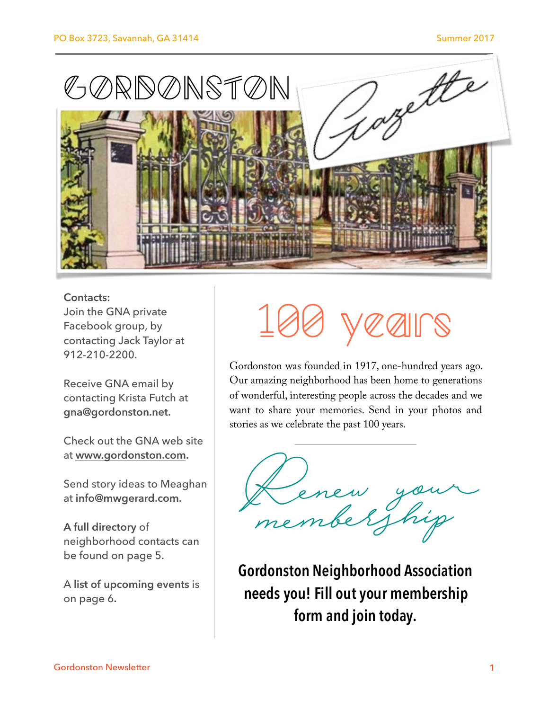

#### **Contacts:** Join the GNA private Facebook group, by contacting Jack Taylor at 912-210-2200.

Receive GNA email by contacting Krista Futch at **gna@gordonston.net.** 

Check out the GNA web site at **[www.gordonston.com](http://www.gordonston.com).** 

Send story ideas to Meaghan at **info@mwgerard.com.** 

**A full directory** of neighborhood contacts can be found on page 5.

A **list of upcoming events** is on page 6**.**

# veairs

Gordonston was founded in 1917, one-hundred years ago. Our amazing neighborhood has been home to generations of wonderful, interesting people across the decades and we want to share your memories. Send in your photos and stories as we celebrate the past 100 years.

Denew your membership

**Gordonston Neighborhood Association needs you! Fill out your membership form and join today.**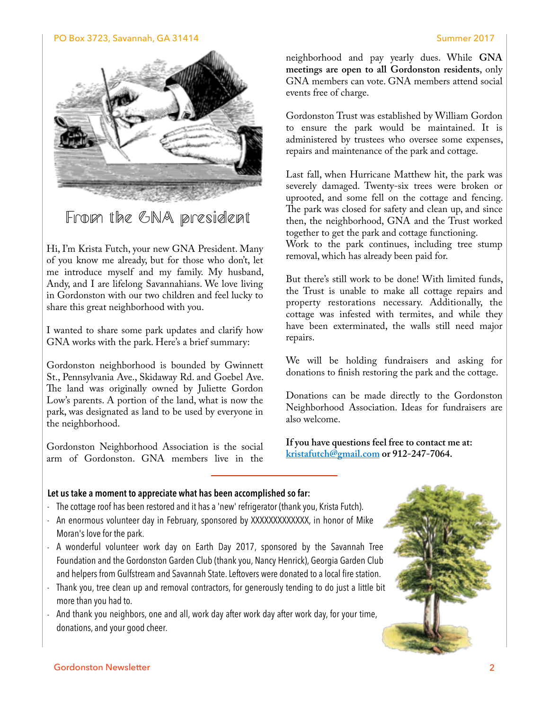#### PO Box 3723, Savannah, GA 31414 Summer 2017



From the GNA president

Hi, I'm Krista Futch, your new GNA President. Many of you know me already, but for those who don't, let me introduce myself and my family. My husband, Andy, and I are lifelong Savannahians. We love living in Gordonston with our two children and feel lucky to share this great neighborhood with you.

I wanted to share some park updates and clarify how GNA works with the park. Here's a brief summary:

Gordonston neighborhood is bounded by Gwinnett St., Pennsylvania Ave., Skidaway Rd. and Goebel Ave. The land was originally owned by Juliette Gordon Low's parents. A portion of the land, what is now the park, was designated as land to be used by everyone in the neighborhood.

Gordonston Neighborhood Association is the social arm of Gordonston. GNA members live in the neighborhood and pay yearly dues. While **GNA meetings are open to all Gordonston residents**, only GNA members can vote. GNA members attend social events free of charge.

Gordonston Trust was established by William Gordon to ensure the park would be maintained. It is administered by trustees who oversee some expenses, repairs and maintenance of the park and cottage.

Last fall, when Hurricane Matthew hit, the park was severely damaged. Twenty-six trees were broken or uprooted, and some fell on the cottage and fencing. The park was closed for safety and clean up, and since then, the neighborhood, GNA and the Trust worked together to get the park and cottage functioning. Work to the park continues, including tree stump removal, which has already been paid for.

But there's still work to be done! With limited funds, the Trust is unable to make all cottage repairs and property restorations necessary. Additionally, the cottage was infested with termites, and while they have been exterminated, the walls still need major repairs.

We will be holding fundraisers and asking for donations to fnish restoring the park and the cottage.

Donations can be made directly to the Gordonston Neighborhood Association. Ideas for fundraisers are also welcome.

**If you have questions feel free to contact me at: [kristafutch@gmail.com](mailto:kristafutch@gmail.com) or 912-247-7064.**

#### **Let us take a moment to appreciate what has been accomplished so far:**

- The cottage roof has been restored and it has a 'new' refrigerator (thank you, Krista Futch).
- An enormous volunteer day in February, sponsored by XXXXXXXXXXXXX, in honor of Mike Moran's love for the park.
- A wonderful volunteer work day on Earth Day 2017, sponsored by the Savannah Tree Foundation and the Gordonston Garden Club (thank you, Nancy Henrick), Georgia Garden Club and helpers from Gulfstream and Savannah State. Leftovers were donated to a local fire station.
- Thank you, tree clean up and removal contractors, for generously tending to do just a little bit more than you had to.
- And thank you neighbors, one and all, work day after work day after work day, for your time, donations, and your good cheer.

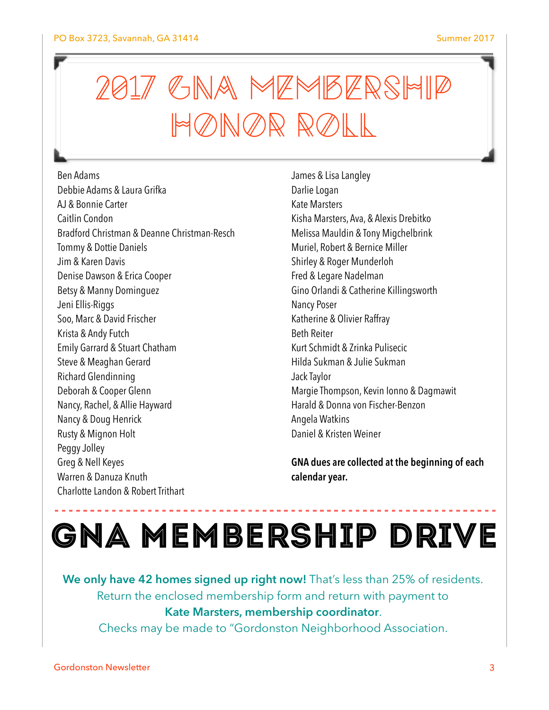## 2017 GNA MEMBERSHIP HONOR ROLL

Ben Adams Debbie Adams & Laura Grifka AJ & Bonnie Carter Caitlin Condon Bradford Christman & Deanne Christman-Resch Tommy & Dottie Daniels Jim & Karen Davis Denise Dawson & Erica Cooper Betsy & Manny Dominguez Jeni Ellis-Riggs Soo, Marc & David Frischer Krista & Andy Futch Emily Garrard & Stuart Chatham Steve & Meaghan Gerard Richard Glendinning Deborah & Cooper Glenn Nancy, Rachel, & Allie Hayward Nancy & Doug Henrick Rusty & Mignon Holt Peggy Jolley Greg & Nell Keyes Warren & Danuza Knuth Charlotte Landon & Robert Trithart

James & Lisa Langley Darlie Logan Kate Marsters Kisha Marsters, Ava, & Alexis Drebitko Melissa Mauldin & Tony Migchelbrink Muriel, Robert & Bernice Miller Shirley & Roger Munderloh Fred & Legare Nadelman Gino Orlandi & Catherine Killingsworth Nancy Poser Katherine & Olivier Raffray Beth Reiter Kurt Schmidt & Zrinka Pulisecic Hilda Sukman & Julie Sukman Jack Taylor Margie Thompson, Kevin Ionno & Dagmawit Harald & Donna von Fischer-Benzon Angela Watkins Daniel & Kristen Weiner

**GNA dues are collected at the beginning of each calendar year.**

## GNA Membership Drive

**We only have 42 homes signed up right now!** That's less than 25% of residents. Return the enclosed membership form and return with payment to **Kate Marsters, membership coordinator**.

Checks may be made to "Gordonston Neighborhood Association.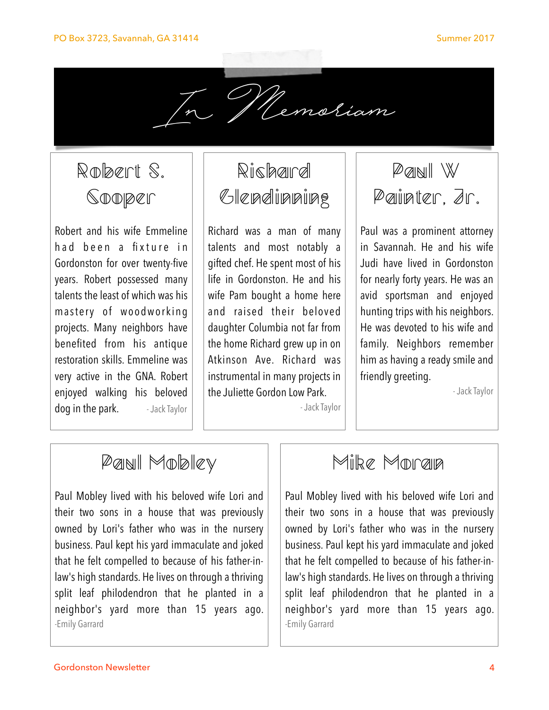

Robert S. **Sooper** 

Robert and his wife Emmeline h a d b e e n a fixture in Gordonston for over twenty-five years. Robert possessed many talents the least of which was his mastery of woodworking projects. Many neighbors have benefited from his antique restoration skills. Emmeline was very active in the GNA. Robert enjoyed walking his beloved dog in the park. - Jack Taylor

## Rishaird Glendinning

Richard was a man of many talents and most notably a gifted chef. He spent most of his life in Gordonston. He and his wife Pam bought a home here and raised their beloved daughter Columbia not far from the home Richard grew up in on Atkinson Ave. Richard was instrumental in many projects in the Juliette Gordon Low Park.

- Jack Taylor

Paul W Painter, Jr.

Paul was a prominent attorney in Savannah. He and his wife Judi have lived in Gordonston for nearly forty years. He was an avid sportsman and enjoyed hunting trips with his neighbors. He was devoted to his wife and family. Neighbors remember him as having a ready smile and friendly greeting.

- Jack Taylor

## Paul Mobley

Paul Mobley lived with his beloved wife Lori and their two sons in a house that was previously owned by Lori's father who was in the nursery business. Paul kept his yard immaculate and joked that he felt compelled to because of his father-inlaw's high standards. He lives on through a thriving split leaf philodendron that he planted in a neighbor's yard more than 15 years ago. -Emily Garrard

### Milke Morralla

Paul Mobley lived with his beloved wife Lori and their two sons in a house that was previously owned by Lori's father who was in the nursery business. Paul kept his yard immaculate and joked that he felt compelled to because of his father-inlaw's high standards. He lives on through a thriving split leaf philodendron that he planted in a neighbor's yard more than 15 years ago. -Emily Garrard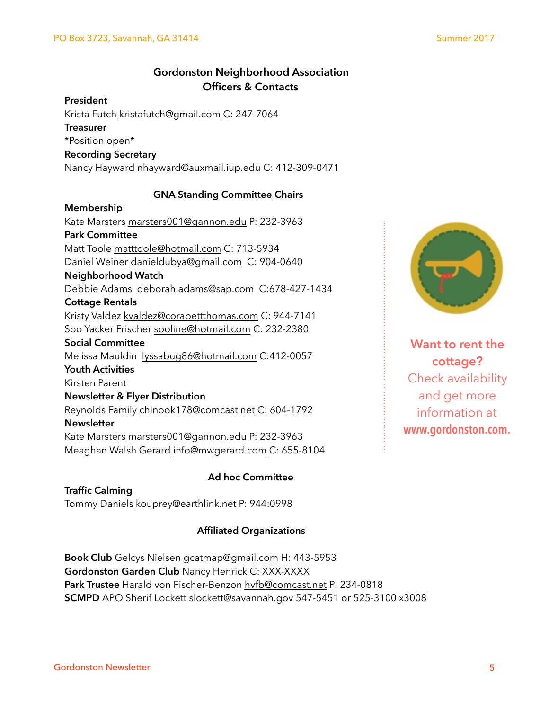#### **Gordonston Neighborhood Association Officers & Contacts**

#### **President**

Krista Futch [kristafutch@gmail.com](mailto:kristafutch@gmail.com) C: 247-7064

#### **Treasurer**

\*Position open\*

#### **Recording Secretary**

Nancy Hayward [nhayward@auxmail.iup.edu](mailto:nhayward@auxmail.iup.edu) C: 412-309-0471

#### **GNA Standing Committee Chairs**

#### **Membership**

Kate Marsters [marsters001@gannon.edu](mailto:marsters001@gannon.edu) P: 232-3963 **Park Committee**  Matt Toole [matttoole@hotmail.com](mailto:matttoole@hotmail.com) C: 713-5934 Daniel Weiner [danieldubya@gmail.com](mailto:danieldubya@gmail.com) C: 904-0640 **Neighborhood Watch**  Debbie Adams deborah.adams@sap.com C:678-427-1434 **Cottage Rentals**  Kristy Valdez [kvaldez@corabettthomas.com](mailto:kvaldez@corabettthomas.com) C: 944-7141 Soo Yacker Frischer [sooline@hotmail.com](mailto:sooline@hotmail.com) C: 232-2380 **Social Committee**  Melissa Mauldin [lyssabug86@hotmail.com](mailto:lyssabug86@hotmail.com) C:412-0057 **Youth Activities**  Kirsten Parent **Newsletter & Flyer Distribution**  Reynolds Family [chinook178@comcast.net](mailto:chinook178@comcast.net) C: 604-1792 **Newsletter** Kate Marsters [marsters001@gannon.edu](mailto:marsters001@gannon.edu) P: 232-3963 Meaghan Walsh Gerard [info@mwgerard.com](mailto:info@mwgerard.com) C: 655-8104

#### **Ad hoc Committee**

**Traffic Calming**  Tommy Daniels [kouprey@earthlink.net](mailto:kouprey@earthlink.net?subject=) P: 944:0998

#### **Affiliated Organizations**

**Book Club** Gelcys Nielsen [gcatmap@gmail.com](mailto:gcatmap@gmail.com) H: 443-5953 **Gordonston Garden Club** Nancy Henrick C: XXX-XXXX **Park Trustee** Harald von Fischer-Benzon [hvfb@comcast.net](mailto:hvfb@comcast.net) P: 234-0818 **SCMPD** APO Sherif Lockett slockett@savannah.gov 547-5451 or 525-3100 x3008



**Want to rent the cottage?**  Check availability and get more information at **www.gordonston.com.**